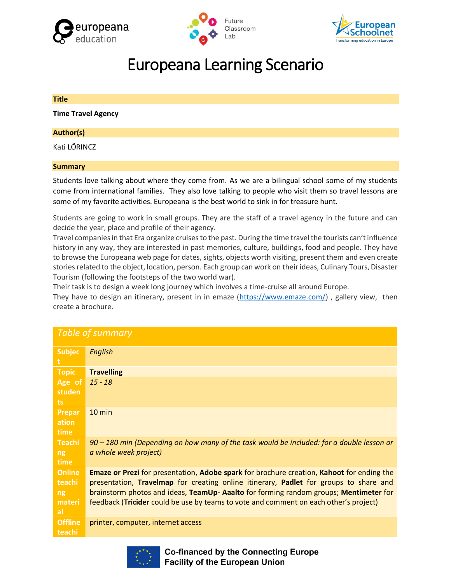





# Europeana Learning Scenario

# **Title**

**Time Travel Agency**

# **Author(s)**

Kati LŐRINCZ

## **Summary**

Students love talking about where they come from. As we are a bilingual school some of my students come from international families. They also love talking to people who visit them so travel lessons are some of my favorite activities. Europeana is the best world to sink in for treasure hunt.

Students are going to work in small groups. They are the staff of a travel agency in the future and can decide the year, place and profile of their agency.

Travel companies in that Era organize cruises to the past. During the time travel the tourists can't influence history in any way, they are interested in past memories, culture, buildings, food and people. They have to browse the Europeana web page for dates, sights, objects worth visiting, present them and even create stories related to the object, location, person. Each group can work on their ideas, Culinary Tours, Disaster Tourism (following the footsteps of the two world war).

Their task is to design a week long journey which involves a time-cruise all around Europe.

They have to design an itinerary, present in in emaze [\(https://www.emaze.com/\)](https://www.emaze.com/), gallery view, then create a brochure.

| <b>Table of summary</b> |                                                                                                  |  |  |
|-------------------------|--------------------------------------------------------------------------------------------------|--|--|
| <b>Subjec</b>           | English                                                                                          |  |  |
| <b>Topic</b>            | <b>Travelling</b>                                                                                |  |  |
| Age of                  | $15 - 18$                                                                                        |  |  |
| studen                  |                                                                                                  |  |  |
| ts.                     |                                                                                                  |  |  |
| Prepar                  | $10 \text{ min}$                                                                                 |  |  |
| ation                   |                                                                                                  |  |  |
| time                    |                                                                                                  |  |  |
| <b>Teachi</b>           | 90 - 180 min (Depending on how many of the task would be included: for a double lesson or        |  |  |
| ng                      | a whole week project)                                                                            |  |  |
| time                    |                                                                                                  |  |  |
| <b>Online</b>           | <b>Emaze or Prezi</b> for presentation, Adobe spark for brochure creation, Kahoot for ending the |  |  |
| teachi                  | presentation, Travelmap for creating online itinerary, Padlet for groups to share and            |  |  |
| ng                      | brainstorm photos and ideas, TeamUp- Aaalto for forming random groups; Mentimeter for            |  |  |
| materi                  | feedback (Tricider could be use by teams to vote and comment on each other's project)            |  |  |
| al                      |                                                                                                  |  |  |
| <b>Offline</b>          | printer, computer, internet access                                                               |  |  |
| teachi                  |                                                                                                  |  |  |



**Co-financed by the Connecting Europe Facility of the European Union**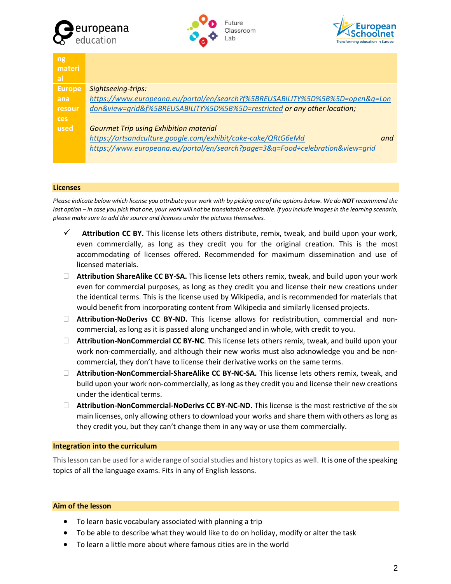





| ng,           |                                                                               |
|---------------|-------------------------------------------------------------------------------|
| materi        |                                                                               |
| <b>al</b>     |                                                                               |
| <b>Europe</b> | Sightseeing-trips:                                                            |
| ana           | https://www.europeana.eu/portal/en/search?f%5BREUSABILITY%5D%5B%5D=open&q=Lon |
| resour        | don&view=qrid&f%5BREUSABILITY%5D%5B%5D=restricted or any other location;      |
| ces           |                                                                               |
| used          | <b>Gourmet Trip using Exhibition material</b>                                 |
|               | https://artsandculture.google.com/exhibit/cake-cake/QRtG6eMd<br>and           |
|               | https://www.europeana.eu/portal/en/search?page=3&q=Food+celebration&view=grid |

#### **Licenses**

*Please indicate below which license you attribute your work with by picking one of the options below. We do NOT recommend the last option – in case you pick that one, your work will not be translatable or editable. If you include images in the learning scenario, please make sure to add the source and licenses under the pictures themselves.*

- ✓ **Attribution CC BY.** This license lets others distribute, remix, tweak, and build upon your work, even commercially, as long as they credit you for the original creation. This is the most accommodating of licenses offered. Recommended for maximum dissemination and use of licensed materials.
- **Attribution ShareAlike CC BY-SA.** This license lets others remix, tweak, and build upon your work even for commercial purposes, as long as they credit you and license their new creations under the identical terms. This is the license used by Wikipedia, and is recommended for materials that would benefit from incorporating content from Wikipedia and similarly licensed projects.
- **Attribution-NoDerivs CC BY-ND.** This license allows for redistribution, commercial and noncommercial, as long as it is passed along unchanged and in whole, with credit to you.
- **Attribution-NonCommercial CC BY-NC**. This license lets others remix, tweak, and build upon your work non-commercially, and although their new works must also acknowledge you and be noncommercial, they don't have to license their derivative works on the same terms.
- **Attribution-NonCommercial-ShareAlike CC BY-NC-SA.** This license lets others remix, tweak, and build upon your work non-commercially, as long as they credit you and license their new creations under the identical terms.
- **Attribution-NonCommercial-NoDerivs CC BY-NC-ND.** This license is the most restrictive of the six main licenses, only allowing others to download your works and share them with others as long as they credit you, but they can't change them in any way or use them commercially.

## **Integration into the curriculum**

This lesson can be used for a wide range of social studies and history topics as well. It is one of the speaking topics of all the language exams. Fits in any of English lessons.

## **Aim of the lesson**

- To learn basic vocabulary associated with planning a trip
- To be able to describe what they would like to do on holiday, modify or alter the task
- To learn a little more about where famous cities are in the world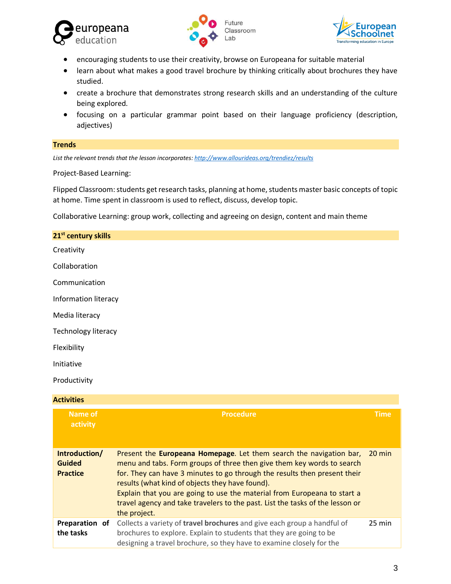





- encouraging students to use their creativity, browse on Europeana for suitable material
- learn about what makes a good travel brochure by thinking critically about brochures they have studied.
- create a brochure that demonstrates strong research skills and an understanding of the culture being explored.
- focusing on a particular grammar point based on their language proficiency (description, adjectives)

## **Trends**

*List the relevant trends that the lesson incorporates[: http://www.allourideas.org/trendiez/results](http://www.allourideas.org/trendiez/results)*

Project-Based Learning:

Flipped Classroom: students get research tasks, planning at home, students master basic concepts of topic at home. Time spent in classroom is used to reflect, discuss, develop topic.

Collaborative Learning: group work, collecting and agreeing on design, content and main theme

| 21 <sup>st</sup> century skills |                                                                                                                                                                                              |             |
|---------------------------------|----------------------------------------------------------------------------------------------------------------------------------------------------------------------------------------------|-------------|
| Creativity                      |                                                                                                                                                                                              |             |
| Collaboration                   |                                                                                                                                                                                              |             |
| Communication                   |                                                                                                                                                                                              |             |
| Information literacy            |                                                                                                                                                                                              |             |
| Media literacy                  |                                                                                                                                                                                              |             |
| Technology literacy             |                                                                                                                                                                                              |             |
| Flexibility                     |                                                                                                                                                                                              |             |
| Initiative                      |                                                                                                                                                                                              |             |
| Productivity                    |                                                                                                                                                                                              |             |
| <b>Activities</b>               |                                                                                                                                                                                              |             |
| <b>Name of</b><br>activity      | <b>Procedure</b>                                                                                                                                                                             | <b>Time</b> |
| Introduction/<br>.              | Present the Europeana Homepage. Let them search the navigation bar, 20 min<br>to a constitution in a constitution of a final constitution of the alternation of the constitution of constitu |             |

| Guidea          | menu and tabs. Form groups of three then give them key words to search        |                  |
|-----------------|-------------------------------------------------------------------------------|------------------|
| <b>Practice</b> | for. They can have 3 minutes to go through the results then present their     |                  |
|                 | results (what kind of objects they have found).                               |                  |
|                 | Explain that you are going to use the material from Europeana to start a      |                  |
|                 | travel agency and take travelers to the past. List the tasks of the lesson or |                  |
|                 | the project.                                                                  |                  |
| Preparation of  | Collects a variety of travel brochures and give each group a handful of       | $25 \text{ min}$ |
| the tasks       | brochures to explore. Explain to students that they are going to be           |                  |
|                 | designing a travel brochure, so they have to examine closely for the          |                  |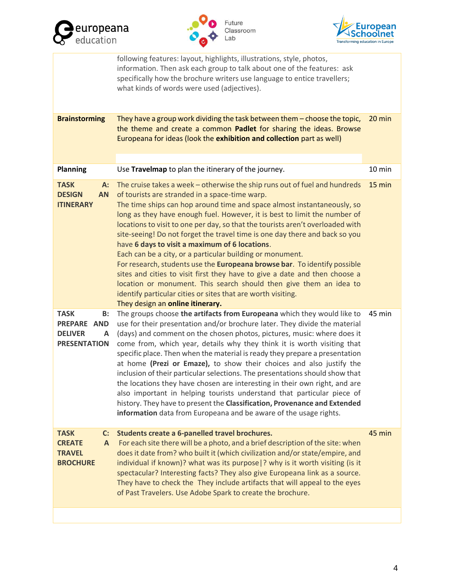





|                                                                                       | following features: layout, highlights, illustrations, style, photos,<br>information. Then ask each group to talk about one of the features: ask<br>specifically how the brochure writers use language to entice travellers;<br>what kinds of words were used (adjectives).                                                                                                                                                                                                                                                                                                                                                                                                                                                                                                                                                                                                                               |        |
|---------------------------------------------------------------------------------------|-----------------------------------------------------------------------------------------------------------------------------------------------------------------------------------------------------------------------------------------------------------------------------------------------------------------------------------------------------------------------------------------------------------------------------------------------------------------------------------------------------------------------------------------------------------------------------------------------------------------------------------------------------------------------------------------------------------------------------------------------------------------------------------------------------------------------------------------------------------------------------------------------------------|--------|
| <b>Brainstorming</b>                                                                  | They have a group work dividing the task between them - choose the topic,<br>the theme and create a common Padlet for sharing the ideas. Browse<br>Europeana for ideas (look the exhibition and collection part as well)                                                                                                                                                                                                                                                                                                                                                                                                                                                                                                                                                                                                                                                                                  | 20 min |
| <b>Planning</b>                                                                       | Use Travelmap to plan the itinerary of the journey.                                                                                                                                                                                                                                                                                                                                                                                                                                                                                                                                                                                                                                                                                                                                                                                                                                                       | 10 min |
| <b>TASK</b><br>$A$ :<br><b>DESIGN</b><br><b>AN</b><br><b>ITINERARY</b>                | The cruise takes a week - otherwise the ship runs out of fuel and hundreds<br>of tourists are stranded in a space-time warp.<br>The time ships can hop around time and space almost instantaneously, so<br>long as they have enough fuel. However, it is best to limit the number of<br>locations to visit to one per day, so that the tourists aren't overloaded with<br>site-seeing! Do not forget the travel time is one day there and back so you<br>have 6 days to visit a maximum of 6 locations.<br>Each can be a city, or a particular building or monument.<br>For research, students use the Europeana browse bar. To identify possible<br>sites and cities to visit first they have to give a date and then choose a<br>location or monument. This search should then give them an idea to<br>identify particular cities or sites that are worth visiting.<br>They design an online itinerary. | 15 min |
| <b>TASK</b><br><b>B:</b><br>PREPARE AND<br><b>DELIVER</b><br>A<br><b>PRESENTATION</b> | The groups choose the artifacts from Europeana which they would like to<br>use for their presentation and/or brochure later. They divide the material<br>(days) and comment on the chosen photos, pictures, music: where does it<br>come from, which year, details why they think it is worth visiting that<br>specific place. Then when the material is ready they prepare a presentation<br>at home (Prezi or Emaze), to show their choices and also justify the<br>inclusion of their particular selections. The presentations should show that<br>the locations they have chosen are interesting in their own right, and are<br>also important in helping tourists understand that particular piece of<br>history. They have to present the Classification, Provenance and Extended<br>information data from Europeana and be aware of the usage rights.                                              | 45 min |
| <b>TASK</b><br>C:<br><b>CREATE</b><br>A<br><b>TRAVEL</b><br><b>BROCHURE</b>           | Students create a 6-panelled travel brochures.<br>For each site there will be a photo, and a brief description of the site: when<br>does it date from? who built it (which civilization and/or state/empire, and<br>individual if known)? what was its purpose  ? why is it worth visiting (is it<br>spectacular? Interesting facts? They also give Europeana link as a source.<br>They have to check the They include artifacts that will appeal to the eyes<br>of Past Travelers. Use Adobe Spark to create the brochure.                                                                                                                                                                                                                                                                                                                                                                               | 45 min |
|                                                                                       |                                                                                                                                                                                                                                                                                                                                                                                                                                                                                                                                                                                                                                                                                                                                                                                                                                                                                                           |        |